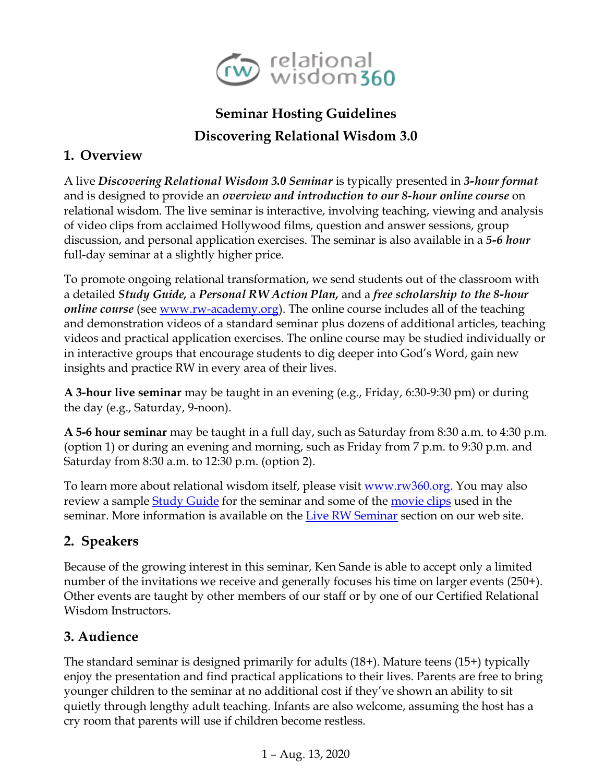

# **Seminar Hosting Guidelines Discovering Relational Wisdom 3.0**

### **1. Overview**

A live *Discovering Relational Wisdom 3.0 Seminar* is typically presented in *3-hour format* and is designed to provide an *overview and introduction to our 8-hour online course* on relational wisdom. The live seminar is interactive, involving teaching, viewing and analysis of video clips from acclaimed Hollywood films, question and answer sessions, group discussion, and personal application exercises. The seminar is also available in a *5-6 hour* full-day seminar at a slightly higher price.

To promote ongoing relational transformation, we send students out of the classroom with a detailed *Study Guide,* a *Personal RW Action Plan,* and a *free scholarship to the 8-hour online course* (see <u>www.rw-academy.org</u>). The online course includes all of the teaching and demonstration videos of a standard seminar plus dozens of additional articles, teaching videos and practical application exercises. The online course may be studied individually or in interactive groups that encourage students to dig deeper into God's Word, gain new insights and practice RW in every area of their lives.

**A 3-hour live seminar** may be taught in an evening (e.g., Friday, 6:30-9:30 pm) or during the day (e.g., Saturday, 9-noon).

**A 5-6 hour seminar** may be taught in a full day, such as Saturday from 8:30 a.m. to 4:30 p.m. (option 1) or during an evening and morning, such as Friday from 7 p.m. to 9:30 p.m. and Saturday from 8:30 a.m. to 12:30 p.m. (option 2).

To learn more about relational wisdom itself, please visit [www.rw360.org.](http://www.rw360.org/) You may also review a sample [Study Guide](https://rw360.org/wp-content/uploads/2020/03/ERW360_StudyGuide-20-24-Page.pdf) for the seminar and some of the [movie clips](http://www.rw360.org/clips) used in the seminar. More information is available on the [Live RW Seminar](http://www.rw360.org/rw-seminar/) section on our web site.

# **2. Speakers**

Because of the growing interest in this seminar, Ken Sande is able to accept only a limited number of the invitations we receive and generally focuses his time on larger events (250+). Other events are taught by other members of our staff or by one of our Certified Relational Wisdom Instructors.

### **3. Audience**

The standard seminar is designed primarily for adults (18+). Mature teens (15+) typically enjoy the presentation and find practical applications to their lives. Parents are free to bring younger children to the seminar at no additional cost if they've shown an ability to sit quietly through lengthy adult teaching. Infants are also welcome, assuming the host has a cry room that parents will use if children become restless.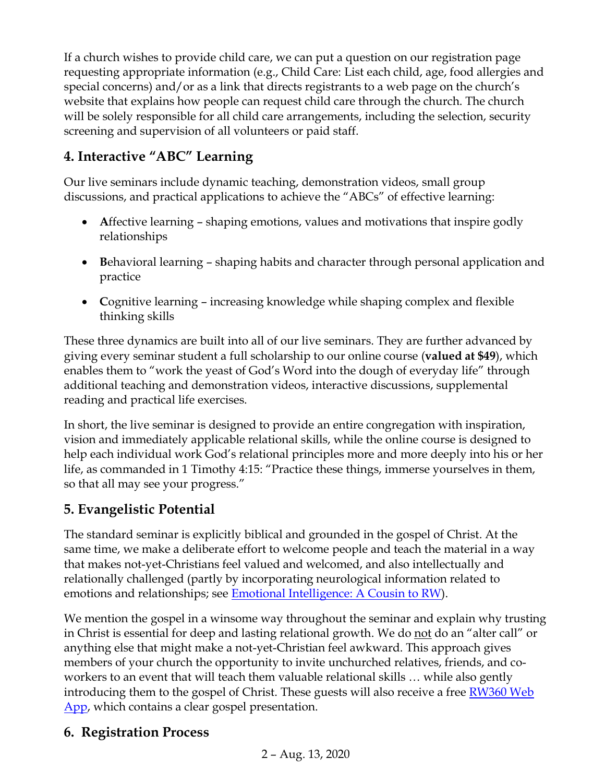If a church wishes to provide child care, we can put a question on our registration page requesting appropriate information (e.g., Child Care: List each child, age, food allergies and special concerns) and/or as a link that directs registrants to a web page on the church's website that explains how people can request child care through the church. The church will be solely responsible for all child care arrangements, including the selection, security screening and supervision of all volunteers or paid staff.

# **4. Interactive "ABC" Learning**

Our live seminars include dynamic teaching, demonstration videos, small group discussions, and practical applications to achieve the "ABCs" of effective learning:

- Affective learning shaping emotions, values and motivations that inspire godly relationships
- **B**ehavioral learning shaping habits and character through personal application and practice
- **C**ognitive learning increasing knowledge while shaping complex and flexible thinking skills

These three dynamics are built into all of our live seminars. They are further advanced by giving every seminar student a full scholarship to our online course (**valued at \$49**), which enables them to "work the yeast of God's Word into the dough of everyday life" through additional teaching and demonstration videos, interactive discussions, supplemental reading and practical life exercises.

In short, the live seminar is designed to provide an entire congregation with inspiration, vision and immediately applicable relational skills, while the online course is designed to help each individual work God's relational principles more and more deeply into his or her life, as commanded in 1 Timothy 4:15: "Practice these things, immerse yourselves in them, so that all may see your progress."

### **5. Evangelistic Potential**

The standard seminar is explicitly biblical and grounded in the gospel of Christ. At the same time, we make a deliberate effort to welcome people and teach the material in a way that makes not-yet-Christians feel valued and welcomed, and also intellectually and relationally challenged (partly by incorporating neurological information related to emotions and relationships; see [Emotional Intelligence: A Cousin to RW\)](http://rw360.org/emotional-intelligence/).

We mention the gospel in a winsome way throughout the seminar and explain why trusting in Christ is essential for deep and lasting relational growth. We do not do an "alter call" or anything else that might make a not-yet-Christian feel awkward. This approach gives members of your church the opportunity to invite unchurched relatives, friends, and coworkers to an event that will teach them valuable relational skills … while also gently introducing them to the gospel of Christ. These guests will also receive a free RW360 Web [App,](http://www.rw360.org/app) which contains a clear gospel presentation.

# **6. Registration Process**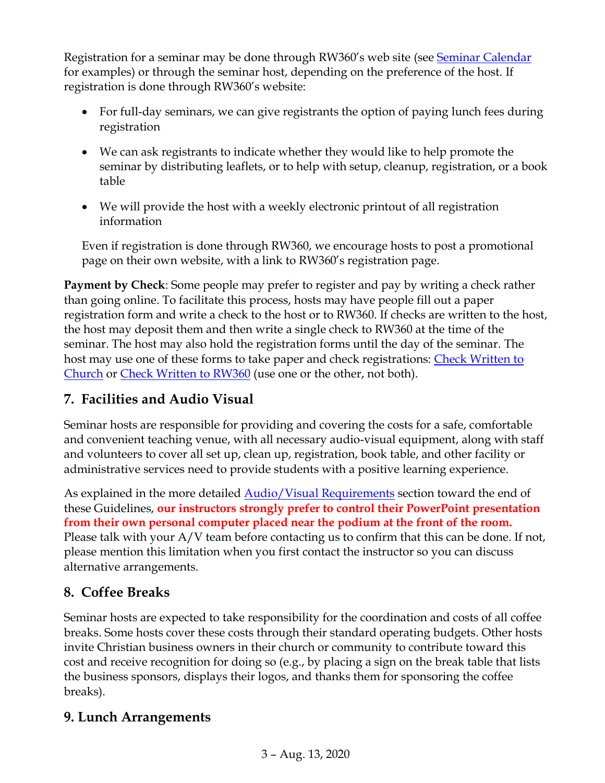Registration for a seminar may be done through RW360's web site (see [Seminar Calendar](https://rw360.org/rw-events/) for examples) or through the seminar host, depending on the preference of the host. If registration is done through RW360's website:

- For full-day seminars, we can give registrants the option of paying lunch fees during registration
- We can ask registrants to indicate whether they would like to help promote the seminar by distributing leaflets, or to help with setup, cleanup, registration, or a book table
- We will provide the host with a weekly electronic printout of all registration information

Even if registration is done through RW360, we encourage hosts to post a promotional page on their own website, with a link to RW360's registration page.

**Payment by Check**: Some people may prefer to register and pay by writing a check rather than going online. To facilitate this process, hosts may have people fill out a paper registration form and write a check to the host or to RW360. If checks are written to the host, the host may deposit them and then write a single check to RW360 at the time of the seminar. The host may also hold the registration forms until the day of the seminar. The host may use one of these forms to take paper and check registrations: [Check Written to](https://www.dropbox.com/s/wx02myu43gx78dc/Registration%20form%20-%20checks%20made%20to%20church.docx?dl=0)  [Church](https://www.dropbox.com/s/wx02myu43gx78dc/Registration%20form%20-%20checks%20made%20to%20church.docx?dl=0) or [Check Written to RW360](https://www.dropbox.com/s/sgxid53mcptoai5/Registration%20form%20-%20checks%20made%20to%20RW360.docx?dl=0) (use one or the other, not both).

# **7. Facilities and Audio Visual**

Seminar hosts are responsible for providing and covering the costs for a safe, comfortable and convenient teaching venue, with all necessary audio-visual equipment, along with staff and volunteers to cover all set up, clean up, registration, book table, and other facility or administrative services need to provide students with a positive learning experience.

As explained in the more detailed **Audio/Visual Requirements** section toward the end of these Guidelines, **our instructors strongly prefer to control their PowerPoint presentation from their own personal computer placed near the podium at the front of the room.**  Please talk with your A/V team before contacting us to confirm that this can be done. If not, please mention this limitation when you first contact the instructor so you can discuss alternative arrangements.

# **8. Coffee Breaks**

Seminar hosts are expected to take responsibility for the coordination and costs of all coffee breaks. Some hosts cover these costs through their standard operating budgets. Other hosts invite Christian business owners in their church or community to contribute toward this cost and receive recognition for doing so (e.g., by placing a sign on the break table that lists the business sponsors, displays their logos, and thanks them for sponsoring the coffee breaks).

# **9. Lunch Arrangements**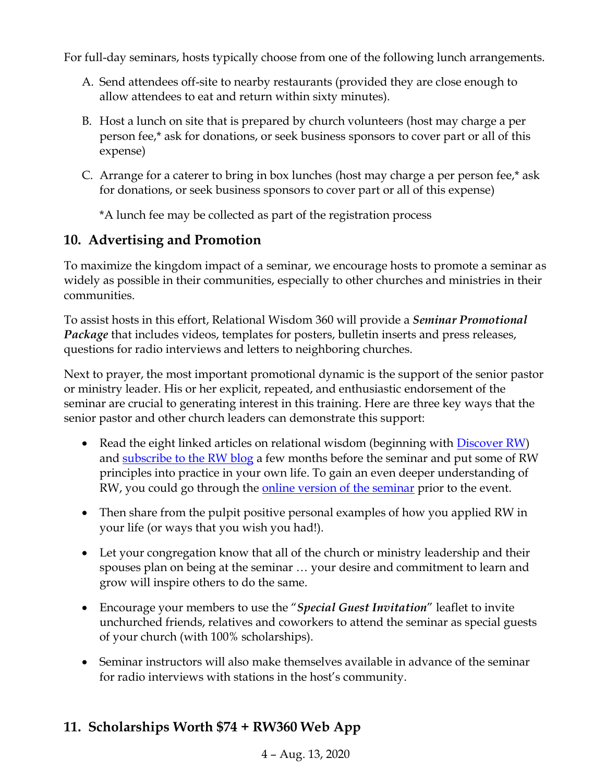For full-day seminars, hosts typically choose from one of the following lunch arrangements.

- A. Send attendees off-site to nearby restaurants (provided they are close enough to allow attendees to eat and return within sixty minutes).
- B. Host a lunch on site that is prepared by church volunteers (host may charge a per person fee,\* ask for donations, or seek business sponsors to cover part or all of this expense)
- C. Arrange for a caterer to bring in box lunches (host may charge a per person fee,\* ask for donations, or seek business sponsors to cover part or all of this expense)

\*A lunch fee may be collected as part of the registration process

### **10. Advertising and Promotion**

To maximize the kingdom impact of a seminar, we encourage hosts to promote a seminar as widely as possible in their communities, especially to other churches and ministries in their communities.

To assist hosts in this effort, Relational Wisdom 360 will provide a *Seminar Promotional Package* that includes videos, templates for posters, bulletin inserts and press releases, questions for radio interviews and letters to neighboring churches.

Next to prayer, the most important promotional dynamic is the support of the senior pastor or ministry leader. His or her explicit, repeated, and enthusiastic endorsement of the seminar are crucial to generating interest in this training. Here are three key ways that the senior pastor and other church leaders can demonstrate this support:

- Read the eight linked articles on relational wisdom (beginning with [Discover RW\)](http://rw360.org/discover-rw/) and [subscribe to the RW blog](http://www.rw360.org/wp-content/uploads/2012/09/subscribe_now.png) a few months before the seminar and put some of RW principles into practice in your own life. To gain an even deeper understanding of RW, you could go through the <u>online version of the seminar</u> prior to the event.
- Then share from the pulpit positive personal examples of how you applied RW in your life (or ways that you wish you had!).
- Let your congregation know that all of the church or ministry leadership and their spouses plan on being at the seminar … your desire and commitment to learn and grow will inspire others to do the same.
- Encourage your members to use the "*Special Guest Invitation*" leaflet to invite unchurched friends, relatives and coworkers to attend the seminar as special guests of your church (with 100% scholarships).
- Seminar instructors will also make themselves available in advance of the seminar for radio interviews with stations in the host's community.

### **11. Scholarships Worth \$74 + RW360 Web App**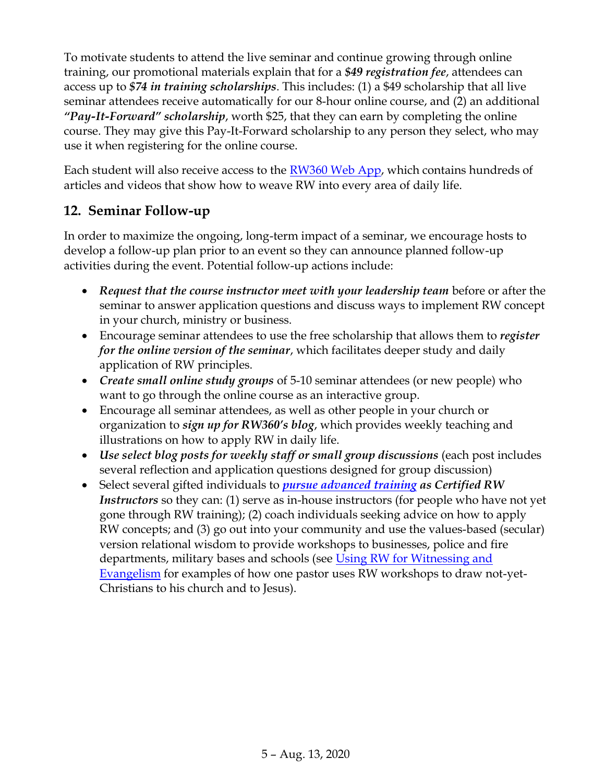To motivate students to attend the live seminar and continue growing through online training, our promotional materials explain that for a *\$49 registration fee*, attendees can access up to *\$74 in training scholarships*. This includes: (1) a \$49 scholarship that all live seminar attendees receive automatically for our 8-hour online course, and (2) an additional *"Pay-It-Forward" scholarship*, worth \$25, that they can earn by completing the online course. They may give this Pay-It-Forward scholarship to any person they select, who may use it when registering for the online course.

Each student will also receive access to the [RW360 Web App,](https://rw360.org/smartphone-app/) which contains hundreds of articles and videos that show how to weave RW into every area of daily life.

### **12. Seminar Follow-up**

In order to maximize the ongoing, long-term impact of a seminar, we encourage hosts to develop a follow-up plan prior to an event so they can announce planned follow-up activities during the event. Potential follow-up actions include:

- *Request that the course instructor meet with your leadership team* before or after the seminar to answer application questions and discuss ways to implement RW concept in your church, ministry or business.
- Encourage seminar attendees to use the free scholarship that allows them to *register for the online version of the seminar*, which facilitates deeper study and daily application of RW principles.
- *Create small online study groups* of 5-10 seminar attendees (or new people) who want to go through the online course as an interactive group.
- Encourage all seminar attendees, as well as other people in your church or organization to *sign up for RW360's blog*, which provides weekly teaching and illustrations on how to apply RW in daily life.
- *Use select blog posts for weekly staff or small group discussions* (each post includes several reflection and application questions designed for group discussion)
- Select several gifted individuals to *[pursue advanced training](https://rw360.org/instructor-certification/) as Certified RW Instructors* so they can: (1) serve as in-house instructors (for people who have not yet gone through RW training); (2) coach individuals seeking advice on how to apply RW concepts; and (3) go out into your community and use the values-based (secular) version relational wisdom to provide workshops to businesses, police and fire departments, military bases and schools (see Using RW for Witnessing and [Evangelism](https://rw360.org/using-rw-for-witnessing-and-evangelism/) for examples of how one pastor uses RW workshops to draw not-yet-Christians to his church and to Jesus).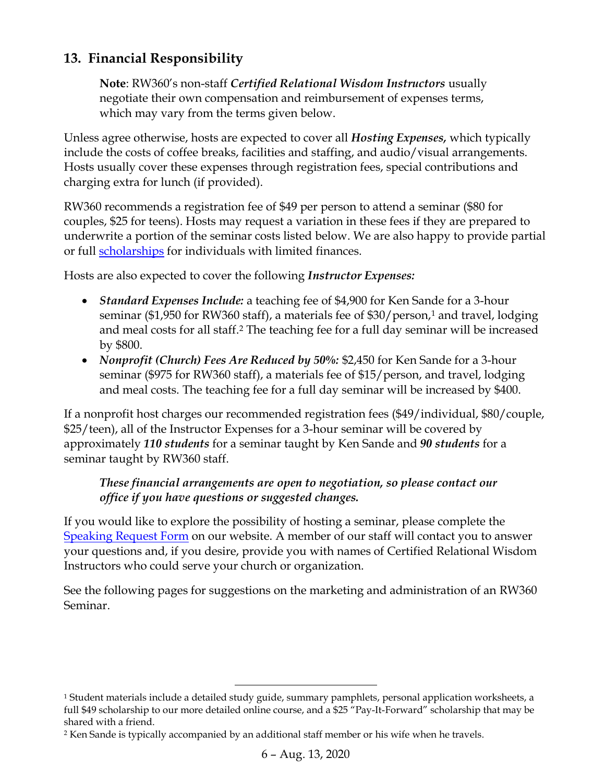### **13. Financial Responsibility**

**Note**: RW360's non-staff *Certified Relational Wisdom Instructors* usually negotiate their own compensation and reimbursement of expenses terms, which may vary from the terms given below.

Unless agree otherwise, hosts are expected to cover all *Hosting Expenses,* which typically include the costs of coffee breaks, facilities and staffing, and audio/visual arrangements. Hosts usually cover these expenses through registration fees, special contributions and charging extra for lunch (if provided).

RW360 recommends a registration fee of \$49 per person to attend a seminar (\$80 for couples, \$25 for teens). Hosts may request a variation in these fees if they are prepared to underwrite a portion of the seminar costs listed below. We are also happy to provide partial or full [scholarships](http://www.rw360.org/scholarship) for individuals with limited finances.

Hosts are also expected to cover the following *Instructor Expenses:*

- *Standard Expenses Include:* a teaching fee of \$4,900 for Ken Sande for a 3-hour seminar (\$1,950 for RW360 staff), a materials fee of \$30/person,<sup>1</sup> and travel, lodging and meal costs for all staff. <sup>2</sup> The teaching fee for a full day seminar will be increased by \$800.
- *Nonprofit (Church) Fees Are Reduced by 50%:* \$2,450 for Ken Sande for a 3-hour seminar (\$975 for RW360 staff), a materials fee of \$15/person, and travel, lodging and meal costs. The teaching fee for a full day seminar will be increased by \$400.

If a nonprofit host charges our recommended registration fees (\$49/individual, \$80/couple, \$25/teen), all of the Instructor Expenses for a 3-hour seminar will be covered by approximately *110 students* for a seminar taught by Ken Sande and *90 students* for a seminar taught by RW360 staff.

#### *These financial arrangements are open to negotiation, so please contact our office if you have questions or suggested changes.*

If you would like to explore the possibility of hosting a seminar, please complete the [Speaking Request Form](http://www.rw360.org/speaking-request-form/) on our website. A member of our staff will contact you to answer your questions and, if you desire, provide you with names of Certified Relational Wisdom Instructors who could serve your church or organization.

See the following pages for suggestions on the marketing and administration of an RW360 Seminar.

 $1$  Student materials include a detailed study guide, summary pamphlets, personal application worksheets, a full \$49 scholarship to our more detailed online course, and a \$25 "Pay-It-Forward" scholarship that may be shared with a friend.

<sup>&</sup>lt;sup>2</sup> Ken Sande is typically accompanied by an additional staff member or his wife when he travels.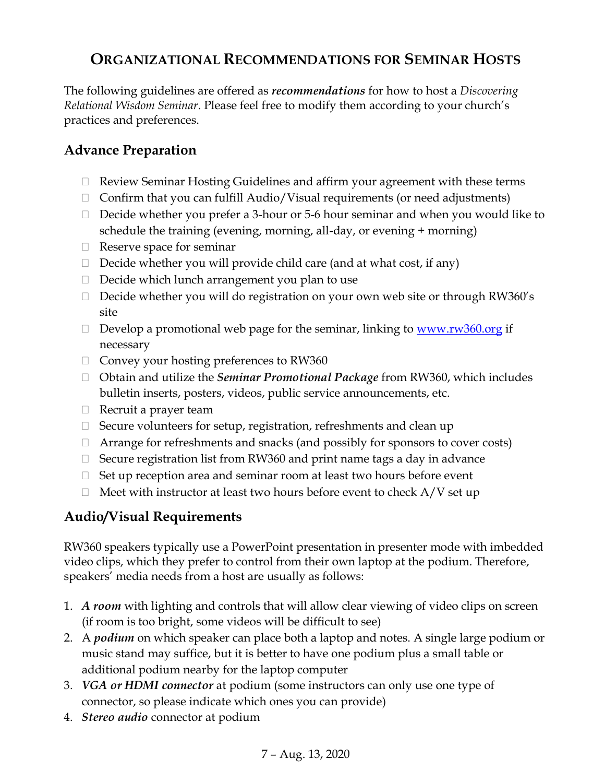# **ORGANIZATIONAL RECOMMENDATIONS FOR SEMINAR HOSTS**

The following guidelines are offered as *recommendations* for how to host a *Discovering Relational Wisdom Seminar*. Please feel free to modify them according to your church's practices and preferences.

### **Advance Preparation**

- $\Box$  Review Seminar Hosting Guidelines and affirm your agreement with these terms
- $\Box$  Confirm that you can fulfill Audio/Visual requirements (or need adjustments)
- $\Box$  Decide whether you prefer a 3-hour or 5-6 hour seminar and when you would like to schedule the training (evening, morning, all-day, or evening + morning)
- $\Box$  Reserve space for seminar
- $\Box$  Decide whether you will provide child care (and at what cost, if any)
- $\Box$  Decide which lunch arrangement you plan to use
- Decide whether you will do registration on your own web site or through RW360's site
- Develop a promotional web page for the seminar, linking to  $\frac{www.rw360.org}{0}$  if necessary
- $\Box$  Convey your hosting preferences to RW360
- □ Obtain and utilize the *Seminar Promotional Package* from RW360, which includes bulletin inserts, posters, videos, public service announcements, etc.
- $\Box$  Recruit a prayer team
- $\Box$  Secure volunteers for setup, registration, refreshments and clean up
- $\Box$  Arrange for refreshments and snacks (and possibly for sponsors to cover costs)
- $\Box$  Secure registration list from RW360 and print name tags a day in advance
- $\Box$  Set up reception area and seminar room at least two hours before event
- $\Box$  Meet with instructor at least two hours before event to check A/V set up

### <span id="page-6-0"></span>**Audio/Visual Requirements**

RW360 speakers typically use a PowerPoint presentation in presenter mode with imbedded video clips, which they prefer to control from their own laptop at the podium. Therefore, speakers' media needs from a host are usually as follows:

- 1. *A room* with lighting and controls that will allow clear viewing of video clips on screen (if room is too bright, some videos will be difficult to see)
- 2. A *podium* on which speaker can place both a laptop and notes. A single large podium or music stand may suffice, but it is better to have one podium plus a small table or additional podium nearby for the laptop computer
- 3. *VGA or HDMI connector* at podium (some instructors can only use one type of connector, so please indicate which ones you can provide)
- 4. *Stereo audio* connector at podium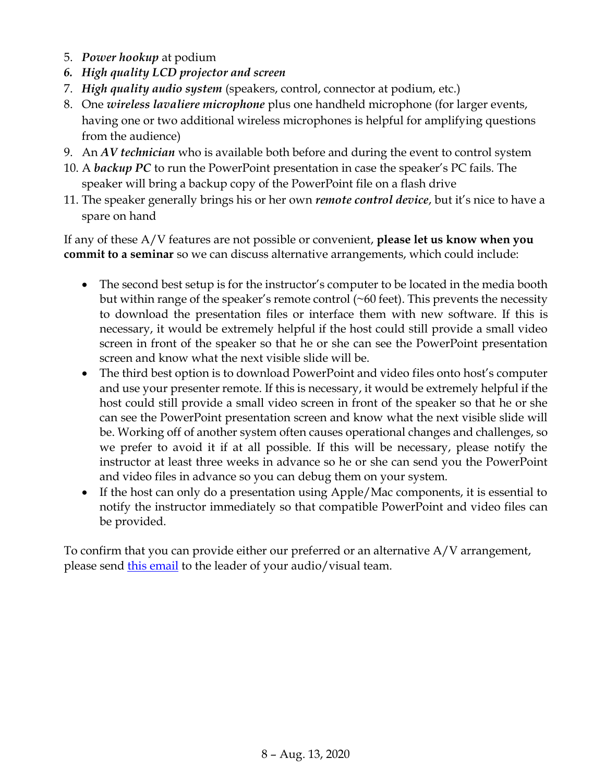- 5. *Power hookup* at podium
- *6. High quality LCD projector and screen*
- 7. *High quality audio system* (speakers, control, connector at podium, etc.)
- 8. One *wireless lavaliere microphone* plus one handheld microphone (for larger events, having one or two additional wireless microphones is helpful for amplifying questions from the audience)
- 9. An *AV technician* who is available both before and during the event to control system
- 10. A *backup PC* to run the PowerPoint presentation in case the speaker's PC fails. The speaker will bring a backup copy of the PowerPoint file on a flash drive
- 11. The speaker generally brings his or her own *remote control device*, but it's nice to have a spare on hand

If any of these A/V features are not possible or convenient, **please let us know when you commit to a seminar** so we can discuss alternative arrangements, which could include:

- The second best setup is for the instructor's computer to be located in the media booth but within range of the speaker's remote control  $(\sim 60 \text{ feet})$ . This prevents the necessity to download the presentation files or interface them with new software. If this is necessary, it would be extremely helpful if the host could still provide a small video screen in front of the speaker so that he or she can see the PowerPoint presentation screen and know what the next visible slide will be.
- The third best option is to download PowerPoint and video files onto host's computer and use your presenter remote. If this is necessary, it would be extremely helpful if the host could still provide a small video screen in front of the speaker so that he or she can see the PowerPoint presentation screen and know what the next visible slide will be. Working off of another system often causes operational changes and challenges, so we prefer to avoid it if at all possible. If this will be necessary, please notify the instructor at least three weeks in advance so he or she can send you the PowerPoint and video files in advance so you can debug them on your system.
- If the host can only do a presentation using Apple/Mac components, it is essential to notify the instructor immediately so that compatible PowerPoint and video files can be provided.

To confirm that you can provide either our preferred or an alternative A/V arrangement, please send [this email](https://www.dropbox.com/s/ijsyry9rxcap7td/Email%20to%20Audio%20Visual%20Team.docx?dl=0) to the leader of your audio/visual team.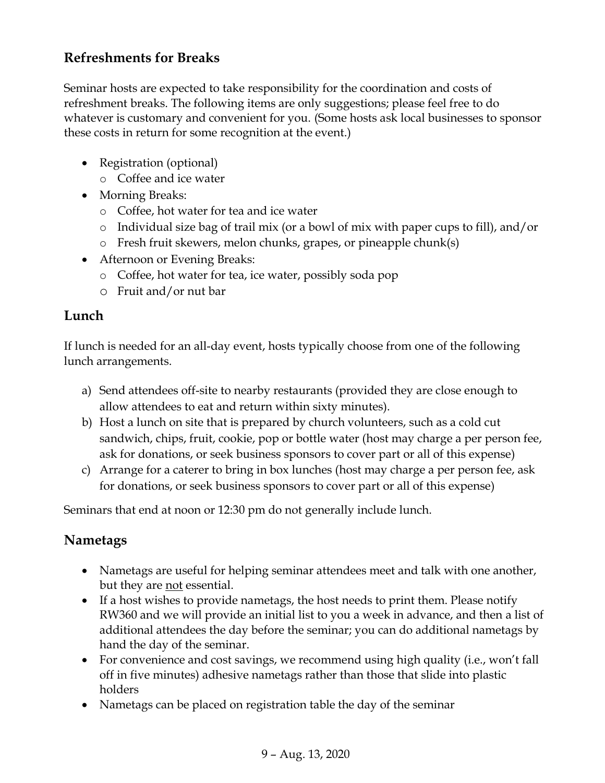### **Refreshments for Breaks**

Seminar hosts are expected to take responsibility for the coordination and costs of refreshment breaks. The following items are only suggestions; please feel free to do whatever is customary and convenient for you. (Some hosts ask local businesses to sponsor these costs in return for some recognition at the event.)

- Registration (optional)
	- o Coffee and ice water
- Morning Breaks:
	- o Coffee, hot water for tea and ice water
	- o Individual size bag of trail mix (or a bowl of mix with paper cups to fill), and/or
	- o Fresh fruit skewers, melon chunks, grapes, or pineapple chunk(s)
- Afternoon or Evening Breaks:
	- o Coffee, hot water for tea, ice water, possibly soda pop
	- o Fruit and/or nut bar

### **Lunch**

If lunch is needed for an all-day event, hosts typically choose from one of the following lunch arrangements.

- a) Send attendees off-site to nearby restaurants (provided they are close enough to allow attendees to eat and return within sixty minutes).
- b) Host a lunch on site that is prepared by church volunteers, such as a cold cut sandwich, chips, fruit, cookie, pop or bottle water (host may charge a per person fee, ask for donations, or seek business sponsors to cover part or all of this expense)
- c) Arrange for a caterer to bring in box lunches (host may charge a per person fee, ask for donations, or seek business sponsors to cover part or all of this expense)

Seminars that end at noon or 12:30 pm do not generally include lunch.

# **Nametags**

- Nametags are useful for helping seminar attendees meet and talk with one another, but they are <u>not</u> essential.
- If a host wishes to provide nametags, the host needs to print them. Please notify RW360 and we will provide an initial list to you a week in advance, and then a list of additional attendees the day before the seminar; you can do additional nametags by hand the day of the seminar.
- For convenience and cost savings, we recommend using high quality (i.e., won't fall off in five minutes) adhesive nametags rather than those that slide into plastic holders
- Nametags can be placed on registration table the day of the seminar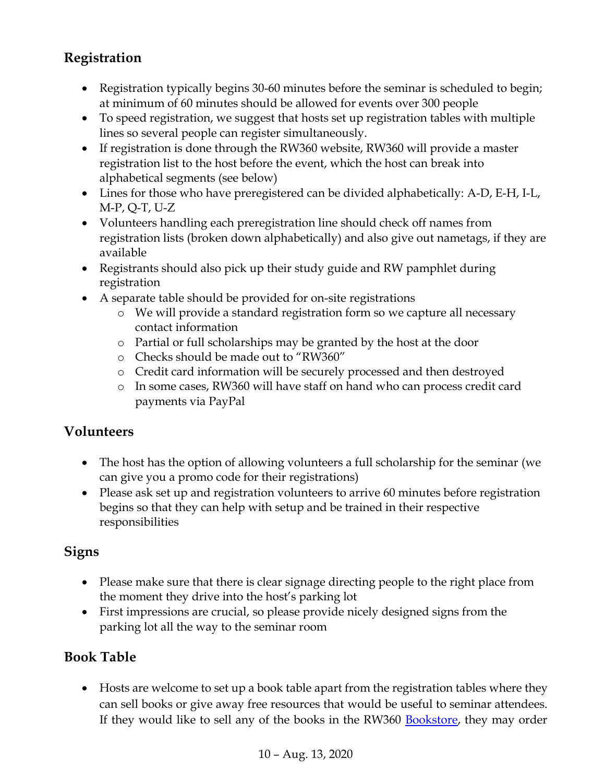# **Registration**

- Registration typically begins 30-60 minutes before the seminar is scheduled to begin; at minimum of 60 minutes should be allowed for events over 300 people
- To speed registration, we suggest that hosts set up registration tables with multiple lines so several people can register simultaneously.
- If registration is done through the RW360 website, RW360 will provide a master registration list to the host before the event, which the host can break into alphabetical segments (see below)
- Lines for those who have preregistered can be divided alphabetically: A-D, E-H, I-L, M-P, Q-T, U-Z
- Volunteers handling each preregistration line should check off names from registration lists (broken down alphabetically) and also give out nametags, if they are available
- Registrants should also pick up their study guide and RW pamphlet during registration
- A separate table should be provided for on-site registrations
	- o We will provide a standard registration form so we capture all necessary contact information
	- o Partial or full scholarships may be granted by the host at the door
	- o Checks should be made out to "RW360"
	- o Credit card information will be securely processed and then destroyed
	- o In some cases, RW360 will have staff on hand who can process credit card payments via PayPal

### **Volunteers**

- The host has the option of allowing volunteers a full scholarship for the seminar (we can give you a promo code for their registrations)
- Please ask set up and registration volunteers to arrive 60 minutes before registration begins so that they can help with setup and be trained in their respective responsibilities

### **Signs**

- Please make sure that there is clear signage directing people to the right place from the moment they drive into the host's parking lot
- First impressions are crucial, so please provide nicely designed signs from the parking lot all the way to the seminar room

# **Book Table**

• Hosts are welcome to set up a book table apart from the registration tables where they can sell books or give away free resources that would be useful to seminar attendees. If they would like to sell any of the books in the RW360 [Bookstore,](http://rw360.org/bookstore/) they may order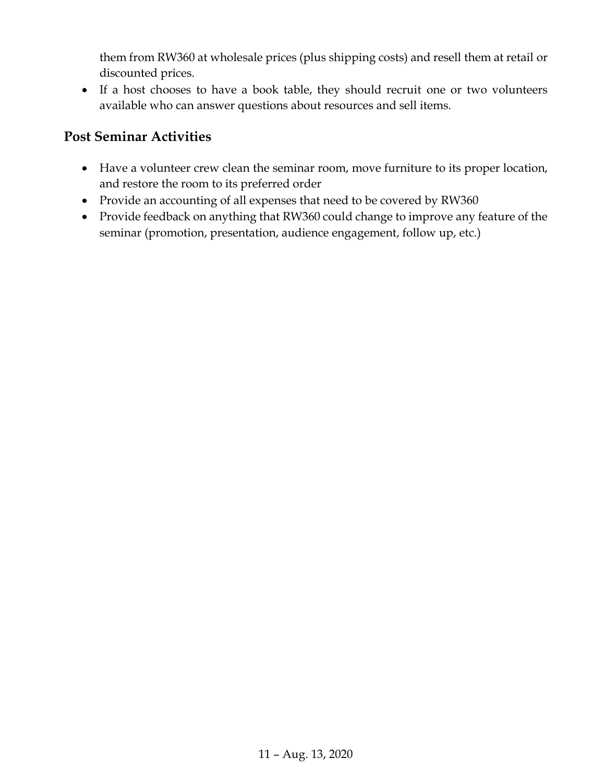them from RW360 at wholesale prices (plus shipping costs) and resell them at retail or discounted prices.

• If a host chooses to have a book table, they should recruit one or two volunteers available who can answer questions about resources and sell items.

### **Post Seminar Activities**

- Have a volunteer crew clean the seminar room, move furniture to its proper location, and restore the room to its preferred order
- Provide an accounting of all expenses that need to be covered by RW360
- Provide feedback on anything that RW360 could change to improve any feature of the seminar (promotion, presentation, audience engagement, follow up, etc.)